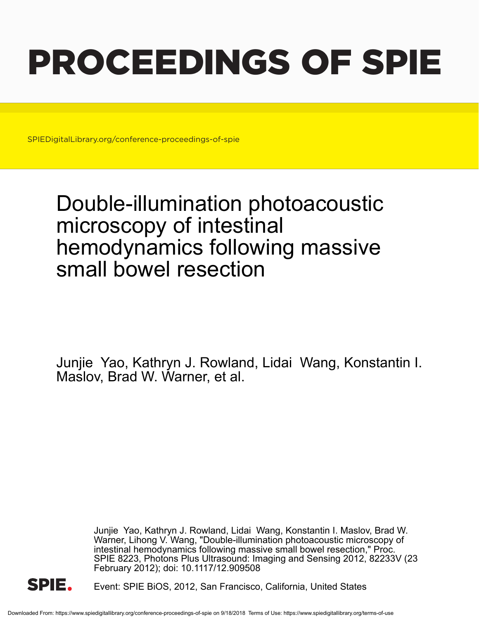# PROCEEDINGS OF SPIE

SPIEDigitalLibrary.org/conference-proceedings-of-spie

## Double-illumination photoacoustic microscopy of intestinal hemodynamics following massive small bowel resection

Junjie Yao, Kathryn J. Rowland, Lidai Wang, Konstantin I. Maslov, Brad W. Warner, et al.

> Junjie Yao, Kathryn J. Rowland, Lidai Wang, Konstantin I. Maslov, Brad W. Warner, Lihong V. Wang, "Double-illumination photoacoustic microscopy of intestinal hemodynamics following massive small bowel resection," Proc. SPIE 8223, Photons Plus Ultrasound: Imaging and Sensing 2012, 82233V (23 February 2012); doi: 10.1117/12.909508



Event: SPIE BiOS, 2012, San Francisco, California, United States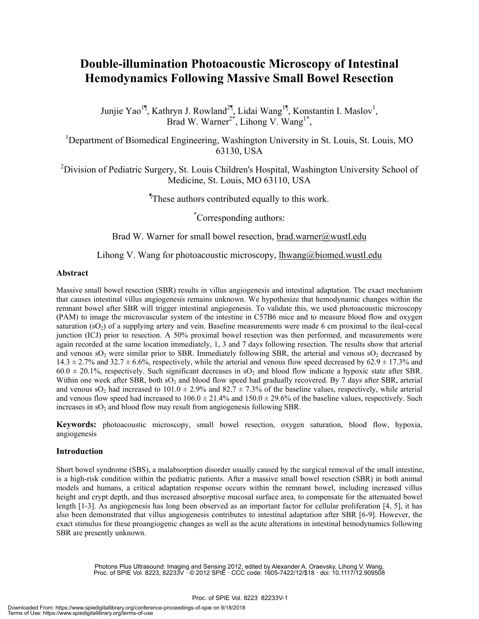### **Double-illumination Photoacoustic Microscopy of Intestinal Hemodynamics Following Massive Small Bowel Resection**

Junjie Yao<sup>1¶</sup>, Kathryn J. Rowland<sup>2¶</sup>, Lidai Wang<sup>1¶</sup>, Konstantin I. Maslov<sup>1</sup>, Brad W. Warner<sup>2\*</sup>, Lihong V. Wang<sup>1\*</sup>,

<sup>1</sup>Department of Biomedical Engineering, Washington University in St. Louis, St. Louis, MO 63130, USA

<sup>2</sup>Division of Pediatric Surgery, St. Louis Children's Hospital, Washington University School of Medicine, St. Louis, MO 63110, USA

¶ These authors contributed equally to this work.

\* Corresponding authors:

Brad W. Warner for small bowel resection, brad.warner@wustl.edu

#### Lihong V. Wang for photoacoustic microscopy, lhwang@biomed.wustl.edu

#### **Abstract**

Massive small bowel resection (SBR) results in villus angiogenesis and intestinal adaptation. The exact mechanism that causes intestinal villus angiogenesis remains unknown. We hypothesize that hemodynamic changes within the remnant bowel after SBR will trigger intestinal angiogenesis. To validate this, we used photoacoustic microscopy (PAM) to image the microvascular system of the intestine in C57B6 mice and to measure blood flow and oxygen saturation  $(SO<sub>2</sub>)$  of a supplying artery and vein. Baseline measurements were made 6 cm proximal to the ileal-cecal junction (ICJ) prior to resection. A 50% proximal bowel resection was then performed, and measurements were again recorded at the same location immediately, 1, 3 and 7 days following resection. The results show that arterial and venous  $SO_2$  were similar prior to SBR. Immediately following SBR, the arterial and venous  $SO_2$  decreased by  $14.3 \pm 2.7\%$  and  $32.7 \pm 6.6\%$ , respectively, while the arterial and venous flow speed decreased by 62.9  $\pm$  17.3% and  $60.0 \pm 20.1\%$ , respectively. Such significant decreases in sO<sub>2</sub> and blood flow indicate a hypoxic state after SBR. Within one week after SBR, both  $SO_2$  and blood flow speed had gradually recovered. By 7 days after SBR, arterial and venous sO<sub>2</sub> had increased to 101.0  $\pm$  2.9% and 82.7  $\pm$  7.3% of the baseline values, respectively, while arterial and venous flow speed had increased to  $106.0 \pm 21.4\%$  and  $150.0 \pm 29.6\%$  of the baseline values, respectively. Such increases in  $sO<sub>2</sub>$  and blood flow may result from angiogenesis following SBR.

**Keywords:** photoacoustic microscopy, small bowel resection, oxygen saturation, blood flow, hypoxia, angiogenesis

#### **Introduction**

Short bowel syndrome (SBS), a malabsorption disorder usually caused by the surgical removal of the small intestine, is a high-risk condition within the pediatric patients. After a massive small bowel resection (SBR) in both animal models and humans, a critical adaptation response occurs within the remnant bowel, including increased villus height and crypt depth, and thus increased absorptive mucosal surface area, to compensate for the attenuated bowel length [1-3]. As angiogenesis has long been observed as an important factor for cellular proliferation [4, 5], it has also been demonstrated that villus angiogenesis contributes to intestinal adaptation after SBR [6-9]. However, the exact stimulus for these proangiogenic changes as well as the acute alterations in intestinal hemodynamics following SBR are presently unknown.

Photons Plus Ultrasound: Imaging and Sensing 2012, edited by Alexander A. Oraevsky, Lihong V. Wang, Proc. of SPIE Vol. 8223, 82233V · © 2012 SPIE · CCC code: 1605-7422/12/\$18 · doi: 10.1117/12.909508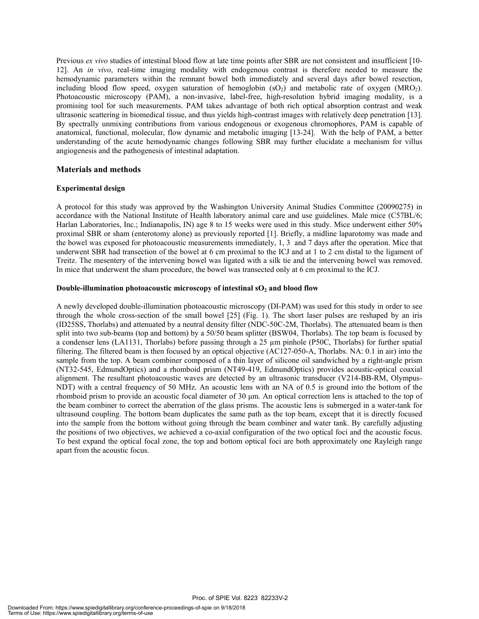Previous *ex vivo* studies of intestinal blood flow at late time points after SBR are not consistent and insufficient [10- 12]. An *in vivo*, real-time imaging modality with endogenous contrast is therefore needed to measure the hemodynamic parameters within the remnant bowel both immediately and several days after bowel resection, including blood flow speed, oxygen saturation of hemoglobin  $(SO<sub>2</sub>)$  and metabolic rate of oxygen  $(MRO<sub>2</sub>)$ . Photoacoustic microscopy (PAM), a non-invasive, label-free, high-resolution hybrid imaging modality, is a promising tool for such measurements. PAM takes advantage of both rich optical absorption contrast and weak ultrasonic scattering in biomedical tissue, and thus yields high-contrast images with relatively deep penetration [13]. By spectrally unmixing contributions from various endogenous or exogenous chromophores, PAM is capable of anatomical, functional, molecular, flow dynamic and metabolic imaging [13-24]. With the help of PAM, a better understanding of the acute hemodynamic changes following SBR may further elucidate a mechanism for villus angiogenesis and the pathogenesis of intestinal adaptation.

#### **Materials and methods**

#### **Experimental design**

A protocol for this study was approved by the Washington University Animal Studies Committee (20090275) in accordance with the National Institute of Health laboratory animal care and use guidelines. Male mice (C57BL/6; Harlan Laboratories, Inc.; Indianapolis, IN) age 8 to 15 weeks were used in this study. Mice underwent either 50% proximal SBR or sham (enterotomy alone) as previously reported [1]. Briefly, a midline laparotomy was made and the bowel was exposed for photoacoustic measurements immediately, 1, 3 and 7 days after the operation. Mice that underwent SBR had transection of the bowel at 6 cm proximal to the ICJ and at 1 to 2 cm distal to the ligament of Treitz. The mesentery of the intervening bowel was ligated with a silk tie and the intervening bowel was removed. In mice that underwent the sham procedure, the bowel was transected only at 6 cm proximal to the ICJ.

#### **Double-illumination photoacoustic microscopy of intestinal sO<sub>2</sub> and blood flow**

A newly developed double-illumination photoacoustic microscopy (DI-PAM) was used for this study in order to see through the whole cross-section of the small bowel [25] (Fig. 1). The short laser pulses are reshaped by an iris (ID25SS, Thorlabs) and attenuated by a neutral density filter (NDC-50C-2M, Thorlabs). The attenuated beam is then split into two sub-beams (top and bottom) by a 50/50 beam splitter (BSW04, Thorlabs). The top beam is focused by a condenser lens (LA1131, Thorlabs) before passing through a 25 µm pinhole (P50C, Thorlabs) for further spatial filtering. The filtered beam is then focused by an optical objective (AC127-050-A, Thorlabs. NA: 0.1 in air) into the sample from the top. A beam combiner composed of a thin layer of silicone oil sandwiched by a right-angle prism (NT32-545, EdmundOptics) and a rhomboid prism (NT49-419, EdmundOptics) provides acoustic-optical coaxial alignment. The resultant photoacoustic waves are detected by an ultrasonic transducer (V214-BB-RM, Olympus-NDT) with a central frequency of 50 MHz. An acoustic lens with an NA of 0.5 is ground into the bottom of the rhomboid prism to provide an acoustic focal diameter of 30 μm. An optical correction lens is attached to the top of the beam combiner to correct the aberration of the glass prisms. The acoustic lens is submerged in a water-tank for ultrasound coupling. The bottom beam duplicates the same path as the top beam, except that it is directly focused into the sample from the bottom without going through the beam combiner and water tank. By carefully adjusting the positions of two objectives, we achieved a co-axial configuration of the two optical foci and the acoustic focus. To best expand the optical focal zone, the top and bottom optical foci are both approximately one Rayleigh range apart from the acoustic focus.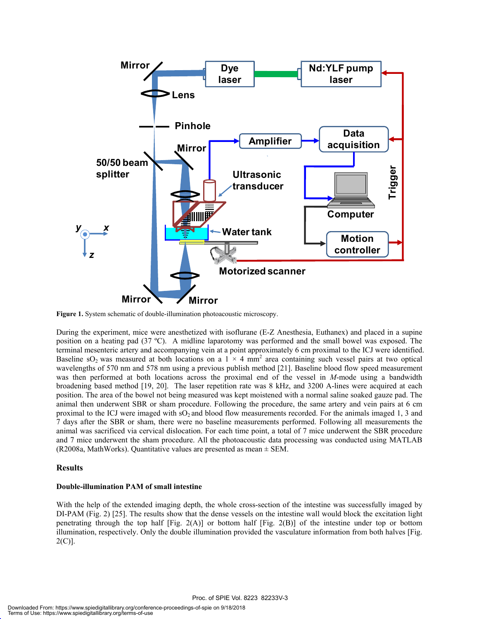

**Figure 1.** System schematic of double-illumination photoacoustic microscopy.

During the experiment, mice were anesthetized with isoflurane (E-Z Anesthesia, Euthanex) and placed in a supine position on a heating pad (37 ºC). A midline laparotomy was performed and the small bowel was exposed. The terminal mesenteric artery and accompanying vein at a point approximately 6 cm proximal to the ICJ were identified. Baseline sO<sub>2</sub> was measured at both locations on a  $1 \times 4$  mm<sup>2</sup> area containing such vessel pairs at two optical wavelengths of 570 nm and 578 nm using a previous publish method [21]. Baseline blood flow speed measurement was then performed at both locations across the proximal end of the vessel in *M*-mode using a bandwidth broadening based method [19, 20]. The laser repetition rate was 8 kHz, and 3200 A-lines were acquired at each position. The area of the bowel not being measured was kept moistened with a normal saline soaked gauze pad. The animal then underwent SBR or sham procedure. Following the procedure, the same artery and vein pairs at 6 cm proximal to the ICJ were imaged with  $SO_2$  and blood flow measurements recorded. For the animals imaged 1, 3 and 7 days after the SBR or sham, there were no baseline measurements performed. Following all measurements the animal was sacrificed via cervical dislocation. For each time point, a total of 7 mice underwent the SBR procedure and 7 mice underwent the sham procedure. All the photoacoustic data processing was conducted using MATLAB (R2008a, MathWorks). Quantitative values are presented as mean  $\pm$  SEM.

#### **Results**

#### **Double-illumination PAM of small intestine**

With the help of the extended imaging depth, the whole cross-section of the intestine was successfully imaged by DI-PAM (Fig. 2) [25]. The results show that the dense vessels on the intestine wall would block the excitation light penetrating through the top half [Fig. 2(A)] or bottom half [Fig. 2(B)] of the intestine under top or bottom illumination, respectively. Only the double illumination provided the vasculature information from both halves [Fig. 2(C)].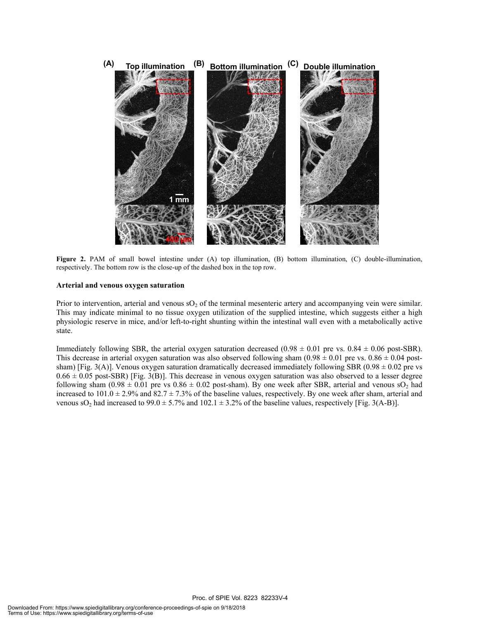

**Figure 2.** PAM of small bowel intestine under (A) top illumination, (B) bottom illumination, (C) double-illumination, respectively. The bottom row is the close-up of the dashed box in the top row.

#### **Arterial and venous oxygen saturation**

Prior to intervention, arterial and venous  $SO_2$  of the terminal mesenteric artery and accompanying vein were similar. This may indicate minimal to no tissue oxygen utilization of the supplied intestine, which suggests either a high physiologic reserve in mice, and/or left-to-right shunting within the intestinal wall even with a metabolically active state.

Immediately following SBR, the arterial oxygen saturation decreased (0.98  $\pm$  0.01 pre vs. 0.84  $\pm$  0.06 post-SBR). This decrease in arterial oxygen saturation was also observed following sham  $(0.98 \pm 0.01$  pre vs.  $0.86 \pm 0.04$  postsham) [Fig. 3(A)]. Venous oxygen saturation dramatically decreased immediately following SBR (0.98  $\pm$  0.02 pre vs  $0.66 \pm 0.05$  post-SBR) [Fig. 3(B)]. This decrease in venous oxygen saturation was also observed to a lesser degree following sham (0.98  $\pm$  0.01 pre vs 0.86  $\pm$  0.02 post-sham). By one week after SBR, arterial and venous sO<sub>2</sub> had increased to  $101.0 \pm 2.9\%$  and  $82.7 \pm 7.3\%$  of the baseline values, respectively. By one week after sham, arterial and venous sO<sub>2</sub> had increased to 99.0  $\pm$  5.7% and 102.1  $\pm$  3.2% of the baseline values, respectively [Fig. 3(A-B)].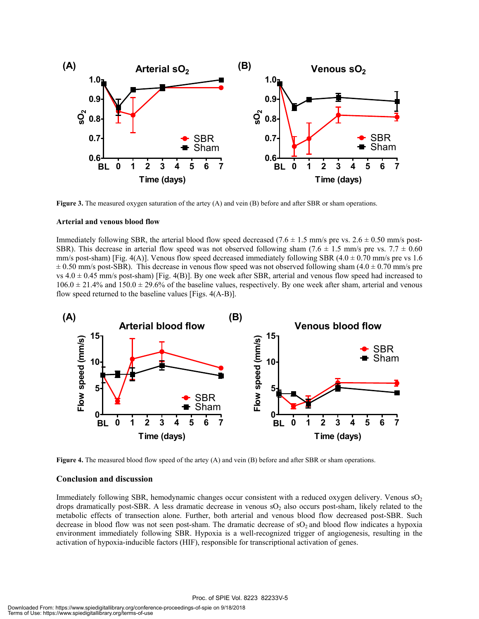

**Figure 3.** The measured oxygen saturation of the artey (A) and vein (B) before and after SBR or sham operations.

#### **Arterial and venous blood flow**

Immediately following SBR, the arterial blood flow speed decreased (7.6  $\pm$  1.5 mm/s pre vs. 2.6  $\pm$  0.50 mm/s post-SBR). This decrease in arterial flow speed was not observed following sham (7.6  $\pm$  1.5 mm/s pre vs. 7.7  $\pm$  0.60 mm/s post-sham) [Fig. 4(A)]. Venous flow speed decreased immediately following SBR ( $4.0 \pm 0.70$  mm/s pre vs 1.6  $\pm$  0.50 mm/s post-SBR). This decrease in venous flow speed was not observed following sham (4.0  $\pm$  0.70 mm/s pre vs  $4.0 \pm 0.45$  mm/s post-sham) [Fig. 4(B)]. By one week after SBR, arterial and venous flow speed had increased to  $106.0 \pm 21.4\%$  and  $150.0 \pm 29.6\%$  of the baseline values, respectively. By one week after sham, arterial and venous flow speed returned to the baseline values [Figs. 4(A-B)].



**Figure 4.** The measured blood flow speed of the artey (A) and vein (B) before and after SBR or sham operations.

#### **Conclusion and discussion**

Immediately following SBR, hemodynamic changes occur consistent with a reduced oxygen delivery. Venous  $sO<sub>2</sub>$ drops dramatically post-SBR. A less dramatic decrease in venous  $SO<sub>2</sub>$  also occurs post-sham, likely related to the metabolic effects of transection alone. Further, both arterial and venous blood flow decreased post-SBR. Such decrease in blood flow was not seen post-sham. The dramatic decrease of  $SO_2$  and blood flow indicates a hypoxia environment immediately following SBR. Hypoxia is a well-recognized trigger of angiogenesis, resulting in the activation of hypoxia-inducible factors (HIF), responsible for transcriptional activation of genes.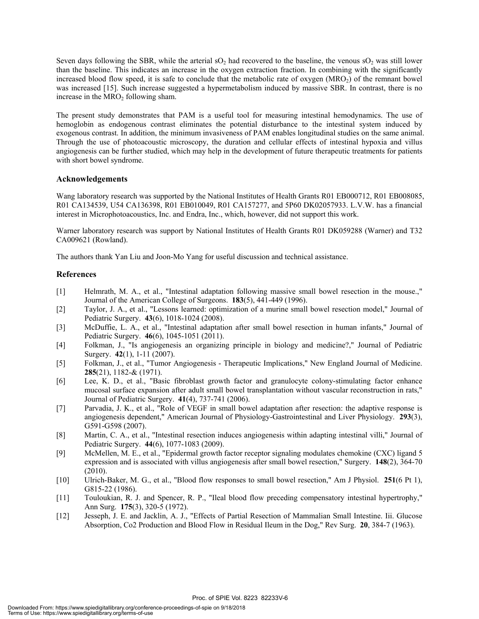Seven days following the SBR, while the arterial  $SO_2$  had recovered to the baseline, the venous  $SO_2$  was still lower than the baseline. This indicates an increase in the oxygen extraction fraction. In combining with the significantly increased blood flow speed, it is safe to conclude that the metabolic rate of oxygen  $(MRO<sub>2</sub>)$  of the remnant bowel was increased [15]. Such increase suggested a hypermetabolism induced by massive SBR. In contrast, there is no increase in the  $MRO<sub>2</sub>$  following sham.

The present study demonstrates that PAM is a useful tool for measuring intestinal hemodynamics. The use of hemoglobin as endogenous contrast eliminates the potential disturbance to the intestinal system induced by exogenous contrast. In addition, the minimum invasiveness of PAM enables longitudinal studies on the same animal. Through the use of photoacoustic microscopy, the duration and cellular effects of intestinal hypoxia and villus angiogenesis can be further studied, which may help in the development of future therapeutic treatments for patients with short bowel syndrome.

#### **Acknowledgements**

Wang laboratory research was supported by the National Institutes of Health Grants R01 EB0000712, R01 EB008085, R01 CA134539, U54 CA136398, R01 EB010049, R01 CA157277, and 5P60 DK02057933. L.V.W. has a financial interest in Microphotoacoustics, Inc. and Endra, Inc., which, however, did not support this work.

Warner laboratory research was support by National Institutes of Health Grants R01 DK059288 (Warner) and T32 CA009621 (Rowland).

The authors thank Yan Liu and Joon-Mo Yang for useful discussion and technical assistance.

#### **References**

- [1] Helmrath, M. A., et al., "Intestinal adaptation following massive small bowel resection in the mouse.," Journal of the American College of Surgeons. **183**(5), 441-449 (1996).
- [2] Taylor, J. A., et al., "Lessons learned: optimization of a murine small bowel resection model," Journal of Pediatric Surgery. **43**(6), 1018-1024 (2008).
- [3] McDuffie, L. A., et al., "Intestinal adaptation after small bowel resection in human infants," Journal of Pediatric Surgery. **46**(6), 1045-1051 (2011).
- [4] Folkman, J., "Is angiogenesis an organizing principle in biology and medicine?," Journal of Pediatric Surgery. **42**(1), 1-11 (2007).
- [5] Folkman, J., et al., "Tumor Angiogenesis Therapeutic Implications," New England Journal of Medicine. **285**(21), 1182-& (1971).
- [6] Lee, K. D., et al., "Basic fibroblast growth factor and granulocyte colony-stimulating factor enhance mucosal surface expansion after adult small bowel transplantation without vascular reconstruction in rats," Journal of Pediatric Surgery. **41**(4), 737-741 (2006).
- [7] Parvadia, J. K., et al., "Role of VEGF in small bowel adaptation after resection: the adaptive response is angiogenesis dependent," American Journal of Physiology-Gastrointestinal and Liver Physiology. **293**(3), G591-G598 (2007).
- [8] Martin, C. A., et al., "Intestinal resection induces angiogenesis within adapting intestinal villi," Journal of Pediatric Surgery. **44**(6), 1077-1083 (2009).
- [9] McMellen, M. E., et al., "Epidermal growth factor receptor signaling modulates chemokine (CXC) ligand 5 expression and is associated with villus angiogenesis after small bowel resection," Surgery. **148**(2), 364-70 (2010).
- [10] Ulrich-Baker, M. G., et al., "Blood flow responses to small bowel resection," Am J Physiol. **251**(6 Pt 1), G815-22 (1986).
- [11] Touloukian, R. J. and Spencer, R. P., "Ileal blood flow preceding compensatory intestinal hypertrophy," Ann Surg. **175**(3), 320-5 (1972).
- [12] Jesseph, J. E. and Jacklin, A. J., "Effects of Partial Resection of Mammalian Small Intestine. Iii. Glucose Absorption, Co2 Production and Blood Flow in Residual Ileum in the Dog," Rev Surg. **20**, 384-7 (1963).